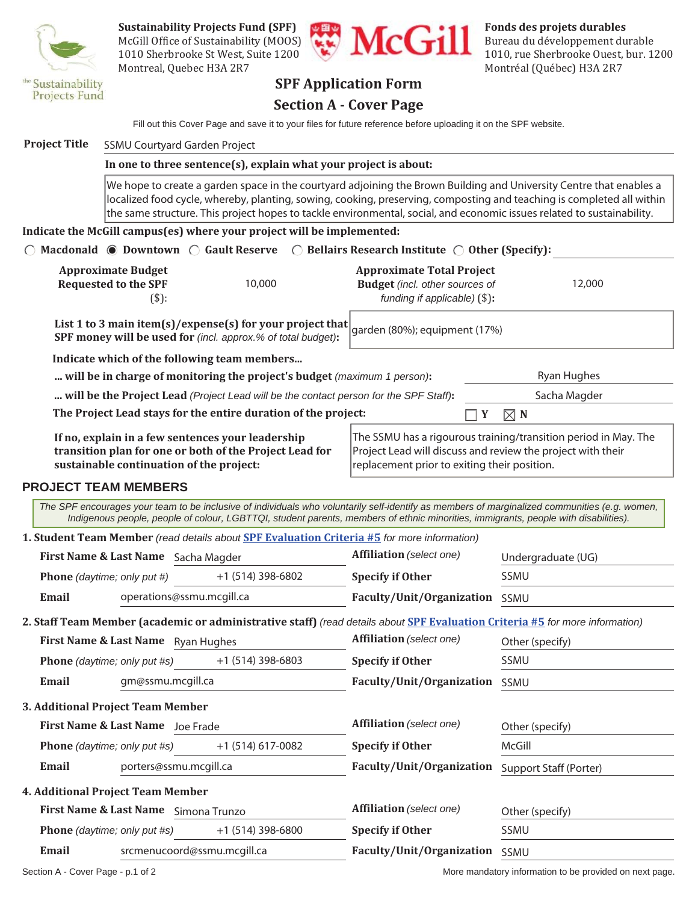

McGill Office of Sustainability (MOOS)  $\left(\begin{array}{c} \bullet \\ \bullet \end{array}\right)$   $\left(\begin{array}{c} \bullet \\ \bullet \end{array}\right)$  Bureau du développement durable Montreal, Quebec H3A 2R7 Montréal (Québec) H3A 2R7



1010 Sherbrooke St West, Suite 1200

### **SPF Application Form**

#### **Section A - Cover Page**

Fill out this Cover Page and save it to your files for future reference before uploading it on the SPF website.

#### **Project Title** SSMU Courtyard Garden Project

#### **In one to three sentence(s), explain what your project is about:**

We hope to create a garden space in the courtyard adjoining the Brown Building and University Centre that enables a localized food cycle, whereby, planting, sowing, cooking, preserving, composting and teaching is completed all within the same structure. This project hopes to tackle environmental, social, and economic issues related to sustainability.

#### **Indicate the McGill campus(es) where your project will be implemented:**

| $\bigcirc$ Macdonald $\bigcirc$ Downtown $\bigcirc$ Gault Reserve $\bigcirc$ Bellairs Research Institute $\bigcirc$ Other (Specify): |        |                                                                                                              |               |                                                                 |
|--------------------------------------------------------------------------------------------------------------------------------------|--------|--------------------------------------------------------------------------------------------------------------|---------------|-----------------------------------------------------------------|
| <b>Approximate Budget</b><br><b>Requested to the SPF</b><br>$(S)$ :                                                                  | 10,000 | <b>Approximate Total Project</b><br><b>Budget</b> (incl. other sources of<br>funding if applicable) $(\$)$ : |               | 12,000                                                          |
| List 1 to 3 main item(s)/expense(s) for your project that<br>SPF money will be used for (incl. approx.% of total budget):            |        | garden (80%); equipment (17%)                                                                                |               |                                                                 |
| Indicate which of the following team members                                                                                         |        |                                                                                                              |               |                                                                 |
| will be in charge of monitoring the project's budget (maximum 1 person):                                                             |        |                                                                                                              |               | Ryan Hughes                                                     |
| will be the Project Lead (Project Lead will be the contact person for the SPF Staff):                                                |        |                                                                                                              |               | Sacha Magder                                                    |
| The Project Lead stays for the entire duration of the project:                                                                       |        |                                                                                                              | $\boxtimes$ N |                                                                 |
| If no, explain in a few sentences your leadership<br>transition plan for one or both of the Project Lead for                         |        | Project Lead will discuss and review the project with their                                                  |               | The SSMU has a rigourous training/transition period in May. The |

#### **PROJECT TEAM MEMBERS**

**sustainable continuation of the project:**

**1. Student Team Member** *(read details about* **SPF Evaluation Criteria #5** *for more information) The SPF encourages your team to be inclusive of individuals who voluntarily self-identify as members of marginalized communities (e.g. women, Indigenous people, people of colour, LGBTTQI, student parents, members of ethnic minorities, immigrants, people with disabilities).*

replacement prior to exiting their position.

| <b>First Name &amp; Last Name</b><br>Sacha Magder |                                    | <b>Affiliation</b> (select one) | Undergraduate (UG) |                           |             |  |
|---------------------------------------------------|------------------------------------|---------------------------------|--------------------|---------------------------|-------------|--|
|                                                   | <b>Phone</b> (daytime; only put #) |                                 | +1 (514) 398-6802  | <b>Specify if Other</b>   | <b>SSMU</b> |  |
|                                                   | Email                              | operations@ssmu.mcgill.ca       |                    | Faculty/Unit/Organization | <b>SSMU</b> |  |
|                                                   |                                    |                                 |                    |                           |             |  |

**2. Staff Team Member (academic or administrative staff)** *(read details about* **SPF Evaluation Criteria #5** *for more information)*

|                                     | First Name & Last Name Ryan Hughes |                   | <b>Affiliation</b> (select one) | Other (specify) |
|-------------------------------------|------------------------------------|-------------------|---------------------------------|-----------------|
| <b>Phone</b> (daytime; only put #s) |                                    | +1 (514) 398-6803 | <b>Specify if Other</b>         | SSMU            |
| Email                               | gm@ssmu.mcgill.ca                  |                   | Faculty/Unit/Organization       | <b>SSMU</b>     |
|                                     | Additional Ducia at Toom Mombon    |                   |                                 |                 |

**3. Additional Project Team Member**

| <b>First Name &amp; Last Name</b><br>Joe Frade |                                          | Affiliation (select one) | Other (specify)           |                        |
|------------------------------------------------|------------------------------------------|--------------------------|---------------------------|------------------------|
|                                                | Phone (daytime; only put #s)             | $+1$ (514) 617-0082      | <b>Specify if Other</b>   | McGill                 |
| Email                                          | porters@ssmu.mcgill.ca                   |                          | Faculty/Unit/Organization | Support Staff (Porter) |
|                                                | <b>4. Additional Project Team Member</b> |                          |                           |                        |
|                                                | <b>First Name &amp; Last Name</b>        | Simona Trunzo            | Affiliation (select one)  | Other (specify)        |
|                                                | <b>Phone</b> (daytime; only put #s)      | $+1(514)$ 398-6800       | <b>Specify if Other</b>   | SSMU                   |
| Email                                          | srcmenucoord@ssmu.mcgill.ca              |                          | Faculty/Unit/Organization | SSMU                   |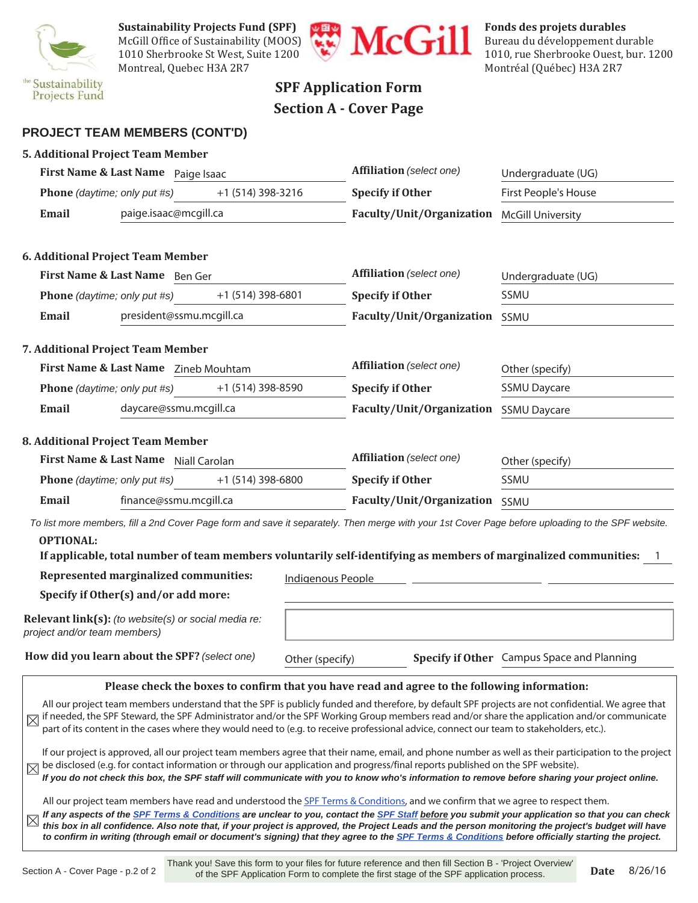

**Sustainability Projects Fund (SPF)**<br>
McGill Office of Sustainability (MOOS)<br>
1010 Sherbrooke St West Suite 1200 McGill Office of Sustainability (MOOS)  $\begin{bmatrix} 1 & 1 \end{bmatrix}$  Bureau du développement durable Montreal, Quebec H3A 2R7 Montréal (Québec) H3A 2R7



1010 Sherbrooke St West, Suite 1200

## **SPF Application Form Section A - Cover Page**

#### **PROJECT TEAM MEMBERS (CONT'D)**

|                              | <b>5. Additional Project Team Member</b>             |                   |                          |                                                                                                                                                                                                                                                                             |                                                                                                                                                                                                                                                                                                                                                                                                                                                                                                                                                                                                             |  |
|------------------------------|------------------------------------------------------|-------------------|--------------------------|-----------------------------------------------------------------------------------------------------------------------------------------------------------------------------------------------------------------------------------------------------------------------------|-------------------------------------------------------------------------------------------------------------------------------------------------------------------------------------------------------------------------------------------------------------------------------------------------------------------------------------------------------------------------------------------------------------------------------------------------------------------------------------------------------------------------------------------------------------------------------------------------------------|--|
|                              | First Name & Last Name Paige Isaac                   |                   | Affiliation (select one) |                                                                                                                                                                                                                                                                             | Undergraduate (UG)                                                                                                                                                                                                                                                                                                                                                                                                                                                                                                                                                                                          |  |
| Phone (daytime; only put #s) |                                                      | +1 (514) 398-3216 |                          | <b>Specify if Other</b>                                                                                                                                                                                                                                                     | First People's House                                                                                                                                                                                                                                                                                                                                                                                                                                                                                                                                                                                        |  |
| <b>Email</b>                 | paige.isaac@mcgill.ca                                |                   |                          | Faculty/Unit/Organization                                                                                                                                                                                                                                                   | <b>McGill University</b>                                                                                                                                                                                                                                                                                                                                                                                                                                                                                                                                                                                    |  |
|                              | 6. Additional Project Team Member                    |                   |                          |                                                                                                                                                                                                                                                                             |                                                                                                                                                                                                                                                                                                                                                                                                                                                                                                                                                                                                             |  |
|                              | First Name & Last Name Ben Ger                       |                   |                          | Affiliation (select one)                                                                                                                                                                                                                                                    | Undergraduate (UG)                                                                                                                                                                                                                                                                                                                                                                                                                                                                                                                                                                                          |  |
| Phone (daytime; only put #s) |                                                      | +1 (514) 398-6801 |                          | <b>Specify if Other</b>                                                                                                                                                                                                                                                     | SSMU                                                                                                                                                                                                                                                                                                                                                                                                                                                                                                                                                                                                        |  |
| <b>Email</b>                 | president@ssmu.mcgill.ca                             |                   |                          | Faculty/Unit/Organization                                                                                                                                                                                                                                                   | SSMU                                                                                                                                                                                                                                                                                                                                                                                                                                                                                                                                                                                                        |  |
|                              | 7. Additional Project Team Member                    |                   |                          |                                                                                                                                                                                                                                                                             |                                                                                                                                                                                                                                                                                                                                                                                                                                                                                                                                                                                                             |  |
|                              | First Name & Last Name Zineb Mouhtam                 |                   |                          | Affiliation (select one)                                                                                                                                                                                                                                                    | Other (specify)                                                                                                                                                                                                                                                                                                                                                                                                                                                                                                                                                                                             |  |
| Phone (daytime; only put #s) |                                                      | +1 (514) 398-8590 |                          | <b>Specify if Other</b>                                                                                                                                                                                                                                                     | <b>SSMU Daycare</b>                                                                                                                                                                                                                                                                                                                                                                                                                                                                                                                                                                                         |  |
| Email                        | daycare@ssmu.mcgill.ca                               |                   |                          | Faculty/Unit/Organization                                                                                                                                                                                                                                                   | <b>SSMU Daycare</b>                                                                                                                                                                                                                                                                                                                                                                                                                                                                                                                                                                                         |  |
|                              | 8. Additional Project Team Member                    |                   |                          |                                                                                                                                                                                                                                                                             |                                                                                                                                                                                                                                                                                                                                                                                                                                                                                                                                                                                                             |  |
|                              | First Name & Last Name Niall Carolan                 |                   |                          | Affiliation (select one)                                                                                                                                                                                                                                                    | Other (specify)                                                                                                                                                                                                                                                                                                                                                                                                                                                                                                                                                                                             |  |
| Phone (daytime; only put #s) |                                                      | +1 (514) 398-6800 |                          | <b>Specify if Other</b>                                                                                                                                                                                                                                                     | SSMU                                                                                                                                                                                                                                                                                                                                                                                                                                                                                                                                                                                                        |  |
| Email                        | finance@ssmu.mcgill.ca                               |                   |                          | Faculty/Unit/Organization SSMU                                                                                                                                                                                                                                              |                                                                                                                                                                                                                                                                                                                                                                                                                                                                                                                                                                                                             |  |
| <b>OPTIONAL:</b>             |                                                      |                   |                          | If applicable, total number of team members voluntarily self-identifying as members of marginalized communities:                                                                                                                                                            | To list more members, fill a 2nd Cover Page form and save it separately. Then merge with your 1st Cover Page before uploading to the SPF website.                                                                                                                                                                                                                                                                                                                                                                                                                                                           |  |
|                              | Represented marginalized communities:                |                   | Indiaenous People        |                                                                                                                                                                                                                                                                             |                                                                                                                                                                                                                                                                                                                                                                                                                                                                                                                                                                                                             |  |
|                              | Specify if Other(s) and/or add more:                 |                   |                          |                                                                                                                                                                                                                                                                             |                                                                                                                                                                                                                                                                                                                                                                                                                                                                                                                                                                                                             |  |
| project and/or team members) | Relevant link(s): (to website(s) or social media re: |                   |                          |                                                                                                                                                                                                                                                                             |                                                                                                                                                                                                                                                                                                                                                                                                                                                                                                                                                                                                             |  |
|                              | How did you learn about the SPF? (select one)        |                   | Other (specify)          |                                                                                                                                                                                                                                                                             | Specify if Other Campus Space and Planning                                                                                                                                                                                                                                                                                                                                                                                                                                                                                                                                                                  |  |
|                              |                                                      |                   |                          | Please check the boxes to confirm that you have read and agree to the following information:                                                                                                                                                                                |                                                                                                                                                                                                                                                                                                                                                                                                                                                                                                                                                                                                             |  |
| $\boxtimes$<br>$\boxtimes$   |                                                      |                   |                          | part of its content in the cases where they would need to (e.g. to receive professional advice, connect our team to stakeholders, etc.).<br>be disclosed (e.g. for contact information or through our application and progress/final reports published on the SPF website). | All our project team members understand that the SPF is publicly funded and therefore, by default SPF projects are not confidential. We agree that<br>if needed, the SPF Steward, the SPF Administrator and/or the SPF Working Group members read and/or share the application and/or communicate<br>If our project is approved, all our project team members agree that their name, email, and phone number as well as their participation to the project<br>If you do not check this box, the SPF staff will communicate with you to know who's information to remove before sharing your project online. |  |
| $\boxtimes$                  |                                                      |                   |                          | All our project team members have read and understood the SPF Terms & Conditions, and we confirm that we agree to respect them.                                                                                                                                             | If any aspects of the SPF Terms & Conditions are unclear to you, contact the SPF Staff before you submit your application so that you can check<br>this box in all confidence. Also note that, if your project is approved, the Project Leads and the person monitoring the project's budget will have<br>to confirm in writing (through email or document's signing) that they agree to the SPF Terms & Conditions before officially starting the project.                                                                                                                                                 |  |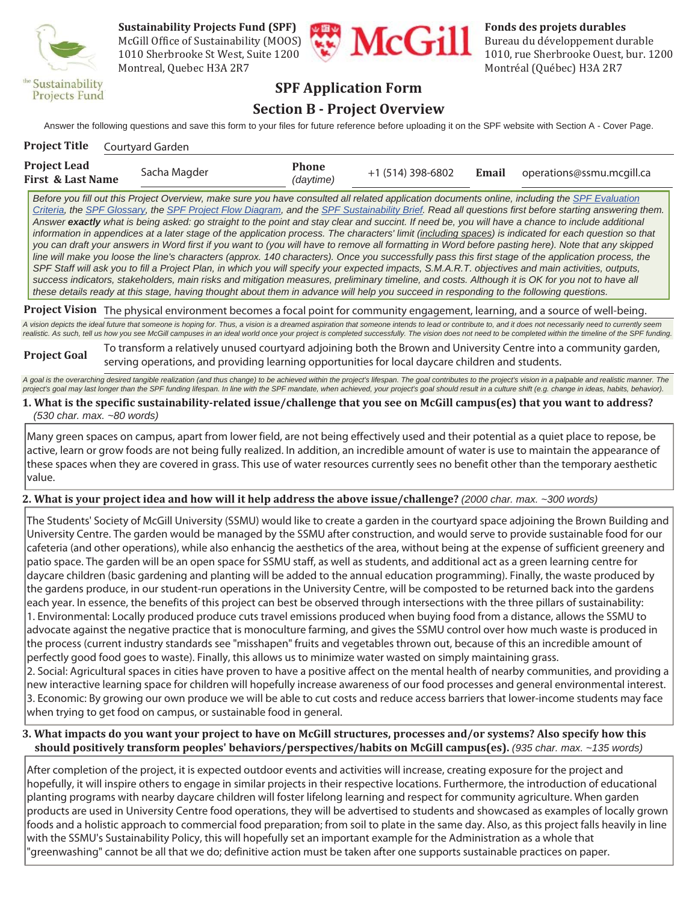

McGill Office of Sustainability (MOOS)  $\begin{array}{c} \begin{array}{c} \bullet \\ \bullet \end{array} \end{array}$   $\begin{array}{c} \bullet \\ \bullet \end{array}$  Bureau du développement durable Montreal, Quebec H3A 2R7 Montréal (Québec) H3A 2R7



1010 Sherbrooke St West, Suite 1200

## **SPF Application Form**

## **Section B - Project Overview**

Answer the following questions and save this form to your files for future reference before uploading it on the SPF website with Section A - Cover Page.

| <b>Project Title</b>                                | Courtyard Garden |                           |                   |       |                           |
|-----------------------------------------------------|------------------|---------------------------|-------------------|-------|---------------------------|
| <b>Project Lead</b><br><b>First &amp; Last Name</b> | Sacha Magder     | <b>Phone</b><br>(daytime) | +1 (514) 398-6802 | Email | operations@ssmu.mcgill.ca |

*Before you fill out this Project Overview, make sure you have consulted all related application documents online, including the SPF Evaluation Criteria, the SPF Glossary, the SPF Project Flow Diagram, and the SPF Sustainability Brief. Read all questions first before starting answering them. Answer exactly what is being asked: go straight to the point and stay clear and succint. If need be, you will have a chance to include additional information in appendices at a later stage of the application process. The characters' limit (including spaces) is indicated for each question so that you can draft your answers in Word first if you want to (you will have to remove all formatting in Word before pasting here). Note that any skipped*  line will make you loose the line's characters (approx. 140 characters). Once you successfully pass this first stage of the application process, the SPF Staff will ask you to fill a Project Plan, in which you will specify your expected impacts, S.M.A.R.T. objectives and main activities, outputs, *success indicators, stakeholders, main risks and mitigation measures, preliminary timeline, and costs. Although it is OK for you not to have all these details ready at this stage, having thought about them in advance will help you succeed in responding to the following questions.*

**Project Vision** The physical environment becomes a focal point for community engagement, learning, and a source of well-being.

*A vision depicts the ideal future that someone is hoping for. Thus, a vision is a dreamed aspiration that someone intends to lead or contribute to, and it does not necessarily need to currently seem realistic. As such, tell us how you see McGill campuses in an ideal world once your project is completed successfully. The vision does not need to be completed within the timeline of the SPF funding.*

#### **Project Goal** To transform a relatively unused courtyard adjoining both the Brown and University Centre into a community garden, serving operations, and providing learning opportunities for local daycare children and students.

**1. What is the specific sustainability-related issue/challenge that you see on McGill campus(es) that you want to address?**  A goal is the overarching desired tangible realization (and thus change) to be achieved within the project's lifespan. The goal contributes to the project's vision in a palpable and realistic manner. The *project's goal may last longer than the SPF funding lifespan. In line with the SPF mandate, when achieved, your project's goal should result in a culture shift (e.g. change in ideas, habits, behavior).*

#### *(530 char. max. ~80 words)*

Many green spaces on campus, apart from lower field, are not being effectively used and their potential as a quiet place to repose, be active, learn or grow foods are not being fully realized. In addition, an incredible amount of water is use to maintain the appearance of these spaces when they are covered in grass. This use of water resources currently sees no benefit other than the temporary aesthetic value.

#### **2. What is your project idea and how will it help address the above issue/challenge?** *(2000 char. max. ~300 words)*

The Students' Society of McGill University (SSMU) would like to create a garden in the courtyard space adjoining the Brown Building and University Centre. The garden would be managed by the SSMU after construction, and would serve to provide sustainable food for our cafeteria (and other operations), while also enhancig the aesthetics of the area, without being at the expense of sufficient greenery and patio space. The garden will be an open space for SSMU staff, as well as students, and additional act as a green learning centre for daycare children (basic gardening and planting will be added to the annual education programming). Finally, the waste produced by the gardens produce, in our student-run operations in the University Centre, will be composted to be returned back into the gardens each year. In essence, the benefits of this project can best be observed through intersections with the three pillars of sustainability: 1. Environmental: Locally produced produce cuts travel emissions produced when buying food from a distance, allows the SSMU to advocate against the negative practice that is monoculture farming, and gives the SSMU control over how much waste is produced in the process (current industry standards see "misshapen" fruits and vegetables thrown out, because of this an incredible amount of perfectly good food goes to waste). Finally, this allows us to minimize water wasted on simply maintaining grass. 2. Social: Agricultural spaces in cities have proven to have a positive affect on the mental health of nearby communities, and providing a

new interactive learning space for children will hopefully increase awareness of our food processes and general environmental interest. 3. Economic: By growing our own produce we will be able to cut costs and reduce access barriers that lower-income students may face when trying to get food on campus, or sustainable food in general.

#### **3. What impacts do you want your project to have on McGill structures, processes and/or systems? Also specify how this should positively transform peoples' behaviors/perspectives/habits on McGill campus(es).** *(935 char. max. ~135 words)*

After completion of the project, it is expected outdoor events and activities will increase, creating exposure for the project and hopefully, it will inspire others to engage in similar projects in their respective locations. Furthermore, the introduction of educational planting programs with nearby daycare children will foster lifelong learning and respect for community agriculture. When garden products are used in University Centre food operations, they will be advertised to students and showcased as examples of locally grown foods and a holistic approach to commercial food preparation; from soil to plate in the same day. Also, as this project falls heavily in line with the SSMU's Sustainability Policy, this will hopefully set an important example for the Administration as a whole that "greenwashing" cannot be all that we do; definitive action must be taken after one supports sustainable practices on paper.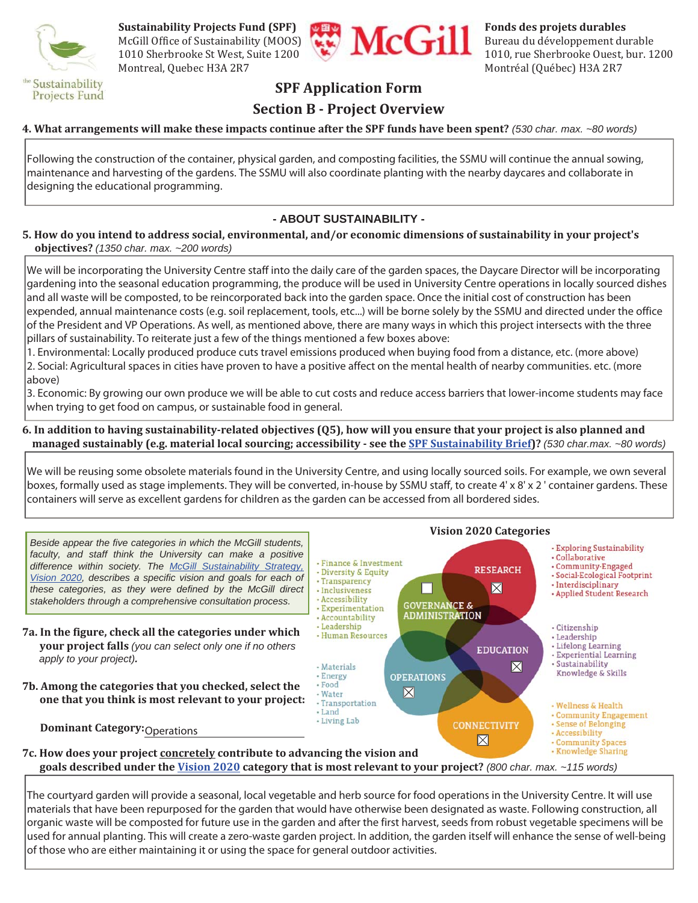

McGill Office of Sustainability (MOOS)  $\left(\begin{array}{c} \bullet \\ \bullet \end{array}\right)$   $\left(\begin{array}{c} \bullet \\ \bullet \end{array}\right)$  Bureau du développement durable Montreal, Quebec H3A 2R7 Montréal (Québec) H3A 2R7



1010 Sherbrooke St West, Suite 1200

## **SPF Application Form**

## **Section B - Project Overview**

#### **4. What arrangements will make these impacts continue after the SPF funds have been spent?** *(530 char. max. ~80 words)*

Following the construction of the container, physical garden, and composting facilities, the SSMU will continue the annual sowing, maintenance and harvesting of the gardens. The SSMU will also coordinate planting with the nearby daycares and collaborate in designing the educational programming.

#### **- ABOUT SUSTAINABILITY -**

#### **5. How do you intend to address social, environmental, and/or economic dimensions of sustainability in your project's objectives?** *(1350 char. max. ~200 words)*

We will be incorporating the University Centre staff into the daily care of the garden spaces, the Daycare Director will be incorporating gardening into the seasonal education programming, the produce will be used in University Centre operations in locally sourced dishes and all waste will be composted, to be reincorporated back into the garden space. Once the initial cost of construction has been expended, annual maintenance costs (e.g. soil replacement, tools, etc...) will be borne solely by the SSMU and directed under the office of the President and VP Operations. As well, as mentioned above, there are many ways in which this project intersects with the three pillars of sustainability. To reiterate just a few of the things mentioned a few boxes above:

1. Environmental: Locally produced produce cuts travel emissions produced when buying food from a distance, etc. (more above) 2. Social: Agricultural spaces in cities have proven to have a positive affect on the mental health of nearby communities. etc. (more above)

3. Economic: By growing our own produce we will be able to cut costs and reduce access barriers that lower-income students may face when trying to get food on campus, or sustainable food in general.

#### **6. In addition to having sustainability-related objectives (Q5), how will you ensure that your project is also planned and managed sustainably (e.g. material local sourcing; accessibility - see the SPF Sustainability Brief)?** *(530 char.max. ~80 words)*

We will be reusing some obsolete materials found in the University Centre, and using locally sourced soils. For example, we own several boxes, formally used as stage implements. They will be converted, in-house by SSMU staff, to create 4' x 8' x 2 ' container gardens. These containers will serve as excellent gardens for children as the garden can be accessed from all bordered sides.



The courtyard garden will provide a seasonal, local vegetable and herb source for food operations in the University Centre. It will use materials that have been repurposed for the garden that would have otherwise been designated as waste. Following construction, all organic waste will be composted for future use in the garden and after the first harvest, seeds from robust vegetable specimens will be used for annual planting. This will create a zero-waste garden project. In addition, the garden itself will enhance the sense of well-being of those who are either maintaining it or using the space for general outdoor activities.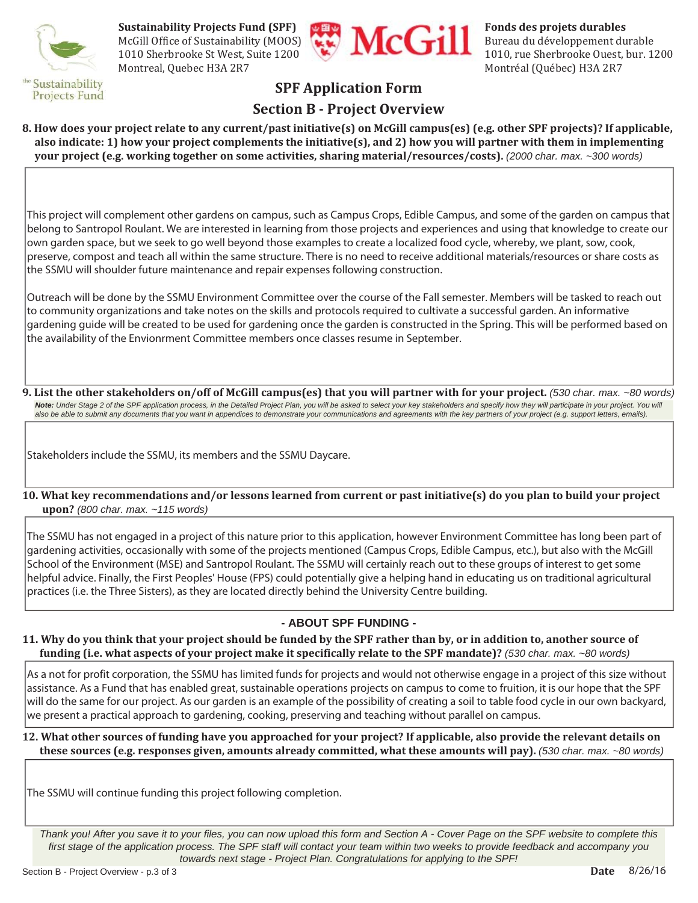

**Sustainability Projects Fund (SPF)**<br>
McGill Office of Sustainability (MOOS)<br>
1010 Sherbrooke St West, Suite 1200<br>
1010 Fundational Property of Sustainability (MOOS) McGill Office of Sustainability (MOOS)  $\left(\begin{array}{c} \bullet \\ \bullet \end{array}\right)$   $\left(\begin{array}{c} \bullet \\ \bullet \end{array}\right)$  Bureau du développement durable Montreal, Quebec H3A 2R7 Montréal (Québec) H3A 2R7



1010 Sherbrooke St West, Suite 1200

## **SPF Application Form**

## **Section B - Project Overview**

**8. How does your project relate to any current/past initiative(s) on McGill campus(es) (e.g. other SPF projects)? If applicable, also indicate: 1) how your project complements the initiative(s), and 2) how you will partner with them in implementing your project (e.g. working together on some activities, sharing material/resources/costs).** *(2000 char. max. ~300 words)*

This project will complement other gardens on campus, such as Campus Crops, Edible Campus, and some of the garden on campus that belong to Santropol Roulant. We are interested in learning from those projects and experiences and using that knowledge to create our own garden space, but we seek to go well beyond those examples to create a localized food cycle, whereby, we plant, sow, cook, preserve, compost and teach all within the same structure. There is no need to receive additional materials/resources or share costs as the SSMU will shoulder future maintenance and repair expenses following construction.

Outreach will be done by the SSMU Environment Committee over the course of the Fall semester. Members will be tasked to reach out to community organizations and take notes on the skills and protocols required to cultivate a successful garden. An informative gardening guide will be created to be used for gardening once the garden is constructed in the Spring. This will be performed based on the availability of the Envionrment Committee members once classes resume in September.

**9. List the other stakeholders on/off of McGill campus(es) that you will partner with for your project.** *(530 char. max. ~80 words)* Note: Under Stage 2 of the SPF application process, in the Detailed Project Plan, you will be asked to select your key stakeholders and specify how they will participate in your project. You will *also be able to submit any documents that you want in appendices to demonstrate your communications and agreements with the key partners of your project (e.g. support letters, emails).*

Stakeholders include the SSMU, its members and the SSMU Daycare.

**10. What key recommendations and/or lessons learned from current or past initiative(s) do you plan to build your project upon?** *(800 char. max. ~115 words)*

The SSMU has not engaged in a project of this nature prior to this application, however Environment Committee has long been part of gardening activities, occasionally with some of the projects mentioned (Campus Crops, Edible Campus, etc.), but also with the McGill School of the Environment (MSE) and Santropol Roulant. The SSMU will certainly reach out to these groups of interest to get some helpful advice. Finally, the First Peoples' House (FPS) could potentially give a helping hand in educating us on traditional agricultural practices (i.e. the Three Sisters), as they are located directly behind the University Centre building.

#### **- ABOUT SPF FUNDING -**

#### **11. Why do you think that your project should be funded by the SPF rather than by, or in addition to, another source of funding (i.e. what aspects of your project make it specifically relate to the SPF mandate)?** *(530 char. max. ~80 words)*

As a not for profit corporation, the SSMU has limited funds for projects and would not otherwise engage in a project of this size without assistance. As a Fund that has enabled great, sustainable operations projects on campus to come to fruition, it is our hope that the SPF will do the same for our project. As our garden is an example of the possibility of creating a soil to table food cycle in our own backyard, we present a practical approach to gardening, cooking, preserving and teaching without parallel on campus.

#### **12. What other sources of funding have you approached for your project? If applicable, also provide the relevant details on these sources (e.g. responses given, amounts already committed, what these amounts will pay).** *(530 char. max. ~80 words)*

The SSMU will continue funding this project following completion.

*Thank you! After you save it to your files, you can now upload this form and Section A - Cover Page on the SPF website to complete this*  first stage of the application process. The SPF staff will contact your team within two weeks to provide feedback and accompany you *towards next stage - Project Plan. Congratulations for applying to the SPF!*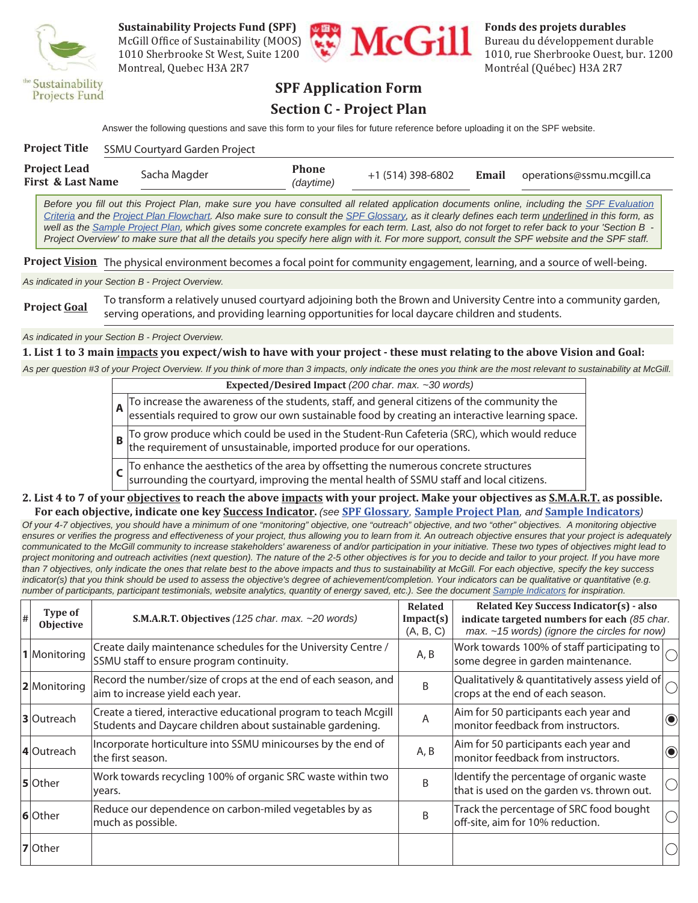

McGill Office of Sustainability (MOOS)  $\begin{array}{c} \begin{array}{c} \bullet \\ \bullet \end{array} \end{array}$   $\begin{array}{c} \bullet \\ \bullet \end{array}$  Bureau du développement durable Montreal, Quebec H3A 2R7 Montréal (Québec) H3A 2R7



1010 Sherbrooke St West, Suite 1200

## **SPF Application Form Section C - Project Plan**

Answer the following questions and save this form to your files for future reference before uploading it on the SPF website.

| Project Title                     | <b>SSMU Courtyard Garden Project</b> |                           |                   |       |                           |
|-----------------------------------|--------------------------------------|---------------------------|-------------------|-------|---------------------------|
| Project Lead<br>First & Last Name | Sacha Magder                         | <b>Phone</b><br>(daytime) | +1 (514) 398-6802 | Email | operations@ssmu.mcgill.ca |

*Before you fill out this Project Plan, make sure you have consulted all related application documents online, including the SPF Evaluation Criteria and the Project Plan Flowchart. Also make sure to consult the SPF Glossary, as it clearly defines each term underlined in this form, as well as the Sample Project Plan, which gives some concrete examples for each term. Last, also do not forget to refer back to your 'Section B - Project Overview' to make sure that all the details you specify here align with it. For more support, consult the SPF website and the SPF staff.*

**Project Vision** The physical environment becomes a focal point for community engagement, learning, and a source of well-being.

*As indicated in your Section B - Project Overview.*

**Project Goal** To transform a relatively unused courtyard adjoining both the Brown and University Centre into a community garden, serving operations, and providing learning opportunities for local daycare children and students.

*As indicated in your Section B - Project Overview.*

**1. List 1 to 3 main impacts you expect/wish to have with your project - these must relating to the above Vision and Goal:**

*As per question #3 of your Project Overview. If you think of more than 3 impacts, only indicate the ones you think are the most relevant to sustainability at McGill.*

**Expected/Desired Impact** *(200 char. max. ~30 words)* **A** To increase the awareness of the students, staff, and general citizens of the community the essentials required to grow our own sustainable food by creating an interactive learning space. **B** To grow produce which could be used in the Student-Run Cafeteria (SRC), which would reduce the requirement of unsustainable, imported produce for our operations. **C** To enhance the aesthetics of the area by offsetting the numerous concrete structures

surrounding the courtyard, improving the mental health of SSMU staff and local citizens.

#### **2. List 4 to 7 of your objectives to reach the above impacts with your project. Make your objectives as S.M.A.R.T. as possible. For each objective, indicate one key Success Indicator.** *(see* **SPF Glossary***,* **Sample Project Plan***, and* **Sample Indicators***)*

*Of your 4-7 objectives, you should have a minimum of one "monitoring" objective, one "outreach" objective, and two "other" objectives. A monitoring objective*  ensures or verifies the progress and effectiveness of your project, thus allowing you to learn from it. An outreach objective ensures that your project is adequately *communicated to the McGill community to increase stakeholders' awareness of and/or participation in your initiative. These two types of objectives might lead to project monitoring and outreach activities (next question). The nature of the 2-5 other objectives is for you to decide and tailor to your project. If you have more than 7 objectives, only indicate the ones that relate best to the above impacts and thus to sustainability at McGill. For each objective, specify the key success*  indicator(s) that you think should be used to assess the objective's degree of achievement/completion. Your indicators can be qualitative or quantitative (e.g. *number of participants, participant testimonials, website analytics, quantity of energy saved, etc.). See the document Sample Indicators for inspiration.*

| # | Type of<br>Objective | S.M.A.R.T. Objectives (125 char. max. ~20 words)                                                                               | <b>Related</b><br>Impact(s)<br>(A, B, C) | Related Key Success Indicator(s) - also<br>indicate targeted numbers for each (85 char.<br>$max. -15$ words) (ignore the circles for now) |                             |
|---|----------------------|--------------------------------------------------------------------------------------------------------------------------------|------------------------------------------|-------------------------------------------------------------------------------------------------------------------------------------------|-----------------------------|
|   | 1 Monitoring         | Create daily maintenance schedules for the University Centre /<br>SSMU staff to ensure program continuity.                     | A, B                                     | Work towards 100% of staff participating to<br>some degree in garden maintenance.                                                         |                             |
|   | 2 Monitoring         | Record the number/size of crops at the end of each season, and<br>aim to increase yield each year.                             | B                                        | Qualitatively & quantitatively assess yield of<br>crops at the end of each season.                                                        |                             |
|   | 3 Outreach           | Create a tiered, interactive educational program to teach Mcgill<br>Students and Daycare children about sustainable gardening. | A                                        | Aim for 50 participants each year and<br>monitor feedback from instructors.                                                               | $\textcolor{blue}{\bullet}$ |
|   | 4 Outreach           | Incorporate horticulture into SSMU minicourses by the end of<br>the first season.                                              | A, B                                     | Aim for 50 participants each year and<br>monitor feedback from instructors.                                                               | $\textcolor{blue}{\bullet}$ |
|   | 5 Other              | Work towards recycling 100% of organic SRC waste within two<br>years.                                                          | B                                        | Identify the percentage of organic waste<br>that is used on the garden vs. thrown out.                                                    | $\bigcirc$                  |
|   | 6 Other              | Reduce our dependence on carbon-miled vegetables by as<br>much as possible.                                                    | B                                        | Track the percentage of SRC food bought<br>off-site, aim for 10% reduction.                                                               |                             |
|   | 7 Other              |                                                                                                                                |                                          |                                                                                                                                           |                             |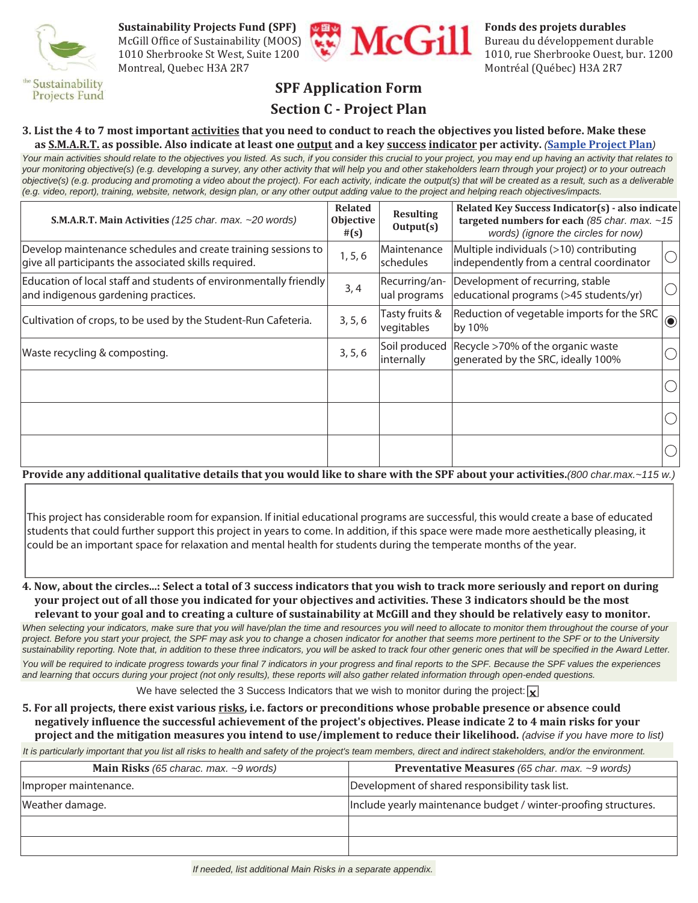

**Sustainability Projects Fund (SPF)**<br>
McGill Office of Sustainability (MOOS)<br>
1010 Sherbrooke St West, Suite 1200<br>
1010 Fundational Property of Sustainability (MOOS) McGill Office of Sustainability (MOOS)  $\left(\begin{array}{c} \bullet \\ \bullet \end{array}\right)$   $\left(\begin{array}{c} \bullet \\ \bullet \end{array}\right)$  Bureau du développement durable Montreal, Quebec H3A 2R7 Montréal (Québec) H3A 2R7



1010 Sherbrooke St West, Suite 1200

## **Projects Fund**

## **SPF Application Form**

## **Section C - Project Plan**

## **3. List the 4 to 7 most important activities that you need to conduct to reach the objectives you listed before. Make these**

*Your main activities should relate to the objectives you listed. As such, if you consider this crucial to your project, you may end up having an activity that relates to your monitoring objective(s) (e.g. developing a survey, any other activity that will help you and other stakeholders learn through your project) or to your outreach objective(s) (e.g. producing and promoting a video about the project). For each activity, indicate the output(s) that will be created as a result, such as a deliverable (e.g. video, report), training, website, network, design plan, or any other output adding value to the project and helping reach objectives/impacts.*  **as S.M.A.R.T. as possible. Also indicate at least one output and a key success indicator per activity.** *(***Sample Project Plan***)*

| S.M.A.R.T. Main Activities (125 char. max. ~20 words)                                                                  | <b>Related</b><br>Objective<br>#(s) | <b>Resulting</b><br>Output(s) | Related Key Success Indicator(s) - also indicate<br>targeted numbers for each (85 char. max. $~15$<br>words) (ignore the circles for now) |            |
|------------------------------------------------------------------------------------------------------------------------|-------------------------------------|-------------------------------|-------------------------------------------------------------------------------------------------------------------------------------------|------------|
| Develop maintenance schedules and create training sessions to<br>give all participants the associated skills required. | 1, 5, 6                             | Maintenance<br>schedules      | Multiple individuals (>10) contributing<br>independently from a central coordinator                                                       | $\bigcirc$ |
| Education of local staff and students of environmentally friendly<br>and indigenous gardening practices.               | 3, 4                                | Recurring/an-<br>ual programs | Development of recurring, stable<br>educational programs (>45 students/yr)                                                                | $\bigcirc$ |
| Cultivation of crops, to be used by the Student-Run Cafeteria.                                                         | 3, 5, 6                             | Tasty fruits &<br>vegitables  | Reduction of vegetable imports for the SRC<br>by 10%                                                                                      | $\bigcirc$ |
| Waste recycling & composting.                                                                                          | 3, 5, 6                             | internally                    | Soil produced Recycle >70% of the organic waste<br>generated by the SRC, ideally 100%                                                     |            |
|                                                                                                                        |                                     |                               |                                                                                                                                           |            |
|                                                                                                                        |                                     |                               |                                                                                                                                           |            |
|                                                                                                                        |                                     |                               |                                                                                                                                           |            |

**Provide any additional qualitative details that you would like to share with the SPF about your activities.***(800 char.max.~115 w.)*

This project has considerable room for expansion. If initial educational programs are successful, this would create a base of educated students that could further support this project in years to come. In addition, if this space were made more aesthetically pleasing, it could be an important space for relaxation and mental health for students during the temperate months of the year.

**4. Now, about the circles...: Select a total of 3 success indicators that you wish to track more seriously and report on during your project out of all those you indicated for your objectives and activities. These 3 indicators should be the most relevant to your goal and to creating a culture of sustainability at McGill and they should be relatively easy to monitor.**

When selecting your indicators, make sure that you will have/plan the time and resources you will need to allocate to monitor them throughout the course of your *project. Before you start your project, the SPF may ask you to change a chosen indicator for another that seems more pertinent to the SPF or to the University sustainability reporting. Note that, in addition to these three indicators, you will be asked to track four other generic ones that will be specified in the Award Letter.* 

You will be required to indicate progress towards your final 7 indicators in your progress and final reports to the SPF. Because the SPF values the experiences *and learning that occurs during your project (not only results), these reports will also gather related information through open-ended questions.*

We have selected the 3 Success Indicators that we wish to monitor during the project:  $\mathbf{x}$ 

**5. For all projects, there exist various risks, i.e. factors or preconditions whose probable presence or absence could negatively influence the successful achievement of the project's objectives. Please indicate 2 to 4 main risks for your project and the mitigation measures you intend to use/implement to reduce their likelihood.** *(advise if you have more to list)*

*It is particularly important that you list all risks to health and safety of the project's team members, direct and indirect stakeholders, and/or the environment.*

| <b>Main Risks</b> (65 charac. max. $\sim$ 9 words) | <b>Preventative Measures</b> (65 char. max. ~9 words)           |
|----------------------------------------------------|-----------------------------------------------------------------|
| Improper maintenance.                              | Development of shared responsibility task list.                 |
| Weather damage.                                    | Include yearly maintenance budget / winter-proofing structures. |
|                                                    |                                                                 |
|                                                    |                                                                 |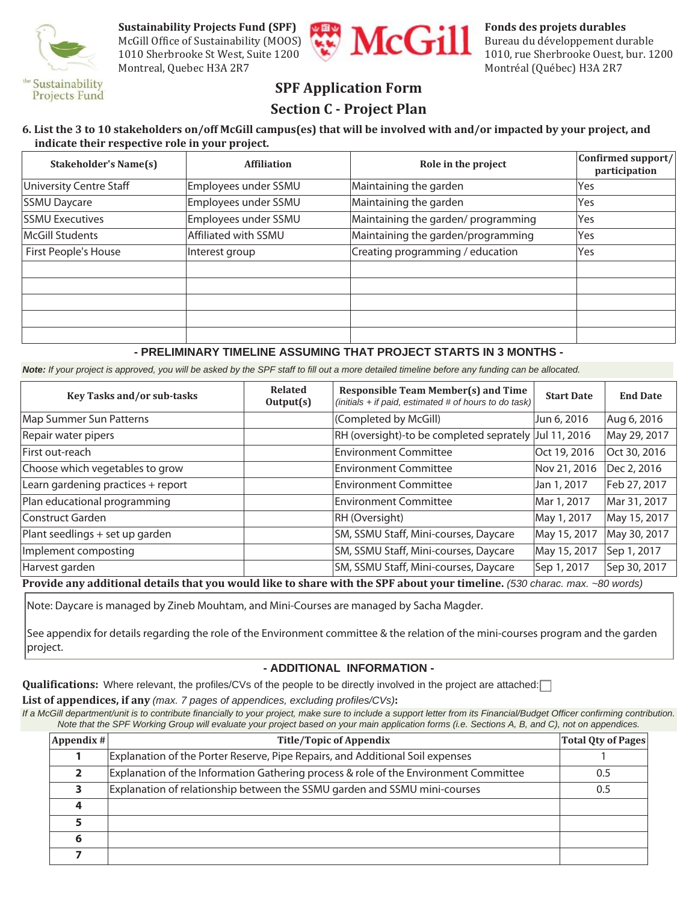

McGill Office of Sustainability (MOOS)  $\left(\begin{array}{c} \bullet \\ \bullet \end{array}\right)$   $\left(\begin{array}{c} \bullet \\ \bullet \end{array}\right)$  Bureau du développement durable Montreal, Quebec H3A 2R7 Montréal (Québec) H3A 2R7



1010 Sherbrooke St West, Suite 1200

## **SPF Application Form**

## **Section C - Project Plan**

#### **6. List the 3 to 10 stakeholders on/off McGill campus(es) that will be involved with and/or impacted by your project, and indicate their respective role in your project.**

| <b>Stakeholder's Name(s)</b> | <b>Affiliation</b>   | Role in the project                 | Confirmed support/<br>participation |
|------------------------------|----------------------|-------------------------------------|-------------------------------------|
| University Centre Staff      | Employees under SSMU | Maintaining the garden              | Yes                                 |
| <b>SSMU Daycare</b>          | Employees under SSMU | Maintaining the garden              | Yes                                 |
| <b>SSMU Executives</b>       | Employees under SSMU | Maintaining the garden/ programming | Yes                                 |
| McGill Students              | Affiliated with SSMU | Maintaining the garden/programming  | Yes                                 |
| First People's House         | Interest group       | Creating programming / education    | Yes                                 |
|                              |                      |                                     |                                     |
|                              |                      |                                     |                                     |
|                              |                      |                                     |                                     |
|                              |                      |                                     |                                     |
|                              |                      |                                     |                                     |

#### **- PRELIMINARY TIMELINE ASSUMING THAT PROJECT STARTS IN 3 MONTHS -**

*Note: If your project is approved, you will be asked by the SPF staff to fill out a more detailed timeline before any funding can be allocated.*

| Key Tasks and/or sub-tasks         | <b>Related</b><br>Output(s) | <b>Responsible Team Member(s) and Time</b><br>(initials + if paid, estimated # of hours to do task) | <b>Start Date</b> | <b>End Date</b> |
|------------------------------------|-----------------------------|-----------------------------------------------------------------------------------------------------|-------------------|-----------------|
| Map Summer Sun Patterns            |                             | (Completed by McGill)                                                                               | Jun 6, 2016       | Aug 6, 2016     |
| Repair water pipers                |                             | RH (oversight)-to be completed seprately                                                            | Jul 11, 2016      | May 29, 2017    |
| First out-reach                    |                             | <b>Environment Committee</b>                                                                        | Oct 19, 2016      | Oct 30, 2016    |
| Choose which vegetables to grow    |                             | <b>Environment Committee</b>                                                                        | Nov 21, 2016      | Dec 2, 2016     |
| Learn gardening practices + report |                             | <b>Environment Committee</b>                                                                        | Jan 1, 2017       | Feb 27, 2017    |
| Plan educational programming       |                             | <b>Environment Committee</b>                                                                        | Mar 1, 2017       | Mar 31, 2017    |
| Construct Garden                   |                             | RH (Oversight)                                                                                      | May 1, 2017       | May 15, 2017    |
| Plant seedlings + set up garden    |                             | SM, SSMU Staff, Mini-courses, Daycare                                                               | May 15, 2017      | May 30, 2017    |
| Implement composting               |                             | SM, SSMU Staff, Mini-courses, Daycare                                                               | May 15, 2017      | Sep 1, 2017     |
| Harvest garden                     |                             | SM, SSMU Staff, Mini-courses, Daycare                                                               | Sep 1, 2017       | Sep 30, 2017    |

**Provide any additional details that you would like to share with the SPF about your timeline.** *(530 charac. max. ~80 words)*

Note: Daycare is managed by Zineb Mouhtam, and Mini-Courses are managed by Sacha Magder.

See appendix for details regarding the role of the Environment committee & the relation of the mini-courses program and the garden project.

#### **- ADDITIONAL INFORMATION -**

Qualifications: Where relevant, the profiles/CVs of the people to be directly involved in the project are attached:

**List of appendices, if any** *(max. 7 pages of appendices, excluding profiles/CVs)***:** 

*If a McGill department/unit is to contribute financially to your project, make sure to include a support letter from its Financial/Budget Officer confirming contribution. Note that the SPF Working Group will evaluate your project based on your main application forms (i.e. Sections A, B, and C), not on appendices.* 

| $\vert$ Appendix # $\vert$ | <b>Title/Topic of Appendix</b>                                                       | <b>Total Qty of Pages</b> |
|----------------------------|--------------------------------------------------------------------------------------|---------------------------|
|                            | Explanation of the Porter Reserve, Pipe Repairs, and Additional Soil expenses        |                           |
|                            | Explanation of the Information Gathering process & role of the Environment Committee | 0.5                       |
|                            | Explanation of relationship between the SSMU garden and SSMU mini-courses            | 0.5                       |
|                            |                                                                                      |                           |
|                            |                                                                                      |                           |
|                            |                                                                                      |                           |
|                            |                                                                                      |                           |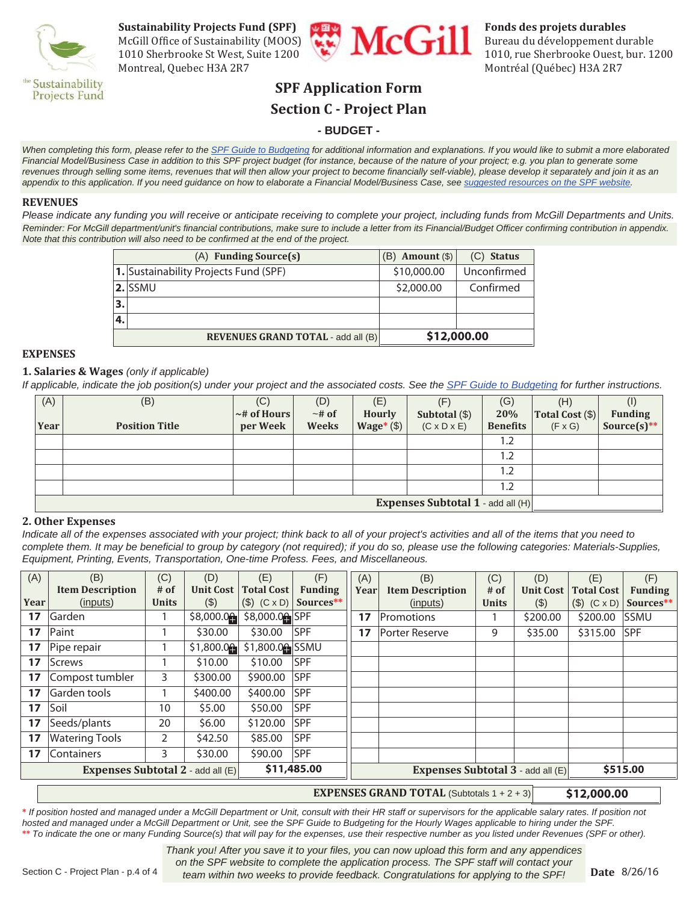

**Sustainability Projects Fund (SPF)**<br>
McGill Office of Sustainability (MOOS)<br>
1010 Sherbrooke St West, Suite 1200<br>
1010 Fundational Property of Sustainability (MOOS) McGill Office of Sustainability (MOOS)  $\left(\begin{array}{c} \bullet \\ \bullet \end{array}\right)$   $\left(\begin{array}{c} \bullet \\ \bullet \end{array}\right)$  Bureau du développement durable Montreal, Quebec H3A 2R7 Montréal (Québec) H3A 2R7



1010 Sherbrooke St West, Suite 1200

## **SPF Application Form Section C - Project Plan**

#### **- BUDGET -**

When completing this form, please refer to the SPF Guide to Budgeting for additional information and explanations. If you would like to submit a more elaborated *Financial Model/Business Case in addition to this SPF project budget (for instance, because of the nature of your project; e.g. you plan to generate some revenues through selling some items, revenues that will then allow your project to become financially self-viable), please develop it separately and join it as an appendix to this application. If you need guidance on how to elaborate a Financial Model/Business Case, see suggested resources on the SPF website.*

#### **REVENUES**

*Please indicate any funding you will receive or anticipate receiving to complete your project, including funds from McGill Departments and Units. Reminder: For McGill department/unit's financial contributions, make sure to include a letter from its Financial/Budget Officer confirming contribution in appendix. Note that this contribution will also need to be confirmed at the end of the project.*

|    | $(A)$ Funding Source $(s)$                               | Amount $(\$)$<br>'B) | $(C)$ Status |  |
|----|----------------------------------------------------------|----------------------|--------------|--|
|    | 1. Sustainability Projects Fund (SPF)                    | \$10,000.00          | Unconfirmed  |  |
|    | <b>2.</b> SSMU                                           | \$2,000.00           | Confirmed    |  |
| 3. |                                                          |                      |              |  |
| 4. |                                                          |                      |              |  |
|    | \$12,000.00<br><b>REVENUES GRAND TOTAL - add all (B)</b> |                      |              |  |

#### **EXPENSES**

#### **1. Salaries & Wages** *(only if applicable)*

*If applicable, indicate the job position(s) under your project and the associated costs. See the SPF Guide to Budgeting for further instructions.*

| (A)  | (B)                               | (C)               | (D)          | (E)           | (F)                     | (G)             | (H)                 |                |
|------|-----------------------------------|-------------------|--------------|---------------|-------------------------|-----------------|---------------------|----------------|
|      |                                   | $\sim$ # of Hours | $~\sim$ # of | <b>Hourly</b> | Subtotal $(\$)$         | 20%             | $ Total Cost (\$) $ | <b>Funding</b> |
| Year | <b>Position Title</b>             | per Week          | <b>Weeks</b> | Wage* $(\$)$  | $(C \times D \times E)$ | <b>Benefits</b> | $(F \times G)$      | Source(s) **   |
|      |                                   |                   |              |               |                         | 1.2             |                     |                |
|      |                                   |                   |              |               |                         | 1.2             |                     |                |
|      |                                   |                   |              |               |                         | 1.2             |                     |                |
|      |                                   |                   |              |               |                         | 1.2             |                     |                |
|      | Expenses Subtotal 1 - add all (H) |                   |              |               |                         |                 |                     |                |

#### **2. Other Expenses**

*Indicate all of the expenses associated with your project; think back to all of your project's activities and all of the items that you need to complete them. It may be beneficial to group by category (not required); if you do so, please use the following categories: Materials-Supplies, Equipment, Printing, Events, Transportation, One-time Profess. Fees, and Miscellaneous.*

| (A)             | (B)                                                     | (C)            | (D)              | (E)                         | (F)                                      | (A)  | (B)                     | (C)          | (D)              | (E)                   | (F)            |
|-----------------|---------------------------------------------------------|----------------|------------------|-----------------------------|------------------------------------------|------|-------------------------|--------------|------------------|-----------------------|----------------|
|                 | <b>Item Description</b>                                 | $#$ of         | <b>Unit Cost</b> | <b>Total Cost</b>           | <b>Funding</b>                           | Year | <b>Item Description</b> | $#$ of       | <b>Unit Cost</b> | <b>Total Cost</b>     | <b>Funding</b> |
| Year            | (inputs)                                                | <b>Units</b>   | (3)              | $(S)$ $(C \times D)$        | Sources**                                |      | (inputs)                | <b>Units</b> | (3)              | $(\$)$ $(C \times D)$ | Sources**      |
| 17              | Garden                                                  |                | \$8,000.00       | \$8,000.0 <sup>6</sup> SPF  |                                          | 17   | Promotions              |              | \$200.00         | \$200.00              | lssmu          |
| 17 <sup>2</sup> | Paint                                                   |                | \$30.00          | \$30.00                     | <b>SPF</b>                               | 17   | <b>Porter Reserve</b>   | 9            | \$35.00          | \$315.00              | <b>SPF</b>     |
| 17              | Pipe repair                                             |                | \$1,800.00       | \$1,800.0 <sup>4</sup> SSMU |                                          |      |                         |              |                  |                       |                |
| 17              | Screws                                                  |                | \$10.00          | \$10.00                     | <b>SPF</b>                               |      |                         |              |                  |                       |                |
| 17              | Compost tumbler                                         | 3              | \$300.00         | \$900.00                    | <b>SPF</b>                               |      |                         |              |                  |                       |                |
| 17              | Garden tools                                            |                | \$400.00         | \$400.00                    | <b>SPF</b>                               |      |                         |              |                  |                       |                |
| 17              | Soil                                                    | 10             | \$5.00           | \$50.00                     | <b>SPF</b>                               |      |                         |              |                  |                       |                |
| 17              | Seeds/plants                                            | 20             | \$6.00           | \$120.00                    | <b>SPF</b>                               |      |                         |              |                  |                       |                |
| 17              | <b>Watering Tools</b>                                   | $\overline{2}$ | \$42.50          | \$85.00                     | <b>SPF</b>                               |      |                         |              |                  |                       |                |
| 17              | <b>Containers</b>                                       | 3              | \$30.00          | \$90.00                     | <b>SPF</b>                               |      |                         |              |                  |                       |                |
|                 | \$11,485.00<br><b>Expenses Subtotal 2 - add all (E)</b> |                |                  |                             | <b>Expenses Subtotal 3 - add all (E)</b> |      |                         | \$515.00     |                  |                       |                |

#### **EXPENSES GRAND TOTAL** (Subtotals  $1 + 2 + 3$ ) \$12,000.00

**\*** *If position hosted and managed under a McGill Department or Unit, consult with their HR staff or supervisors for the applicable salary rates. If position not hosted and managed under a McGill Department or Unit, see the SPF Guide to Budgeting for the Hourly Wages applicable to hiring under the SPF.*  **\*\*** *To indicate the one or many Funding Source(s) that will pay for the expenses, use their respective number as you listed under Revenues (SPF or other).*

> *Thank you! After you save it to your files, you can now upload this form and any appendices on the SPF website to complete the application process. The SPF staff will contact your team within two weeks to provide feedback. Congratulations for applying to the SPF!*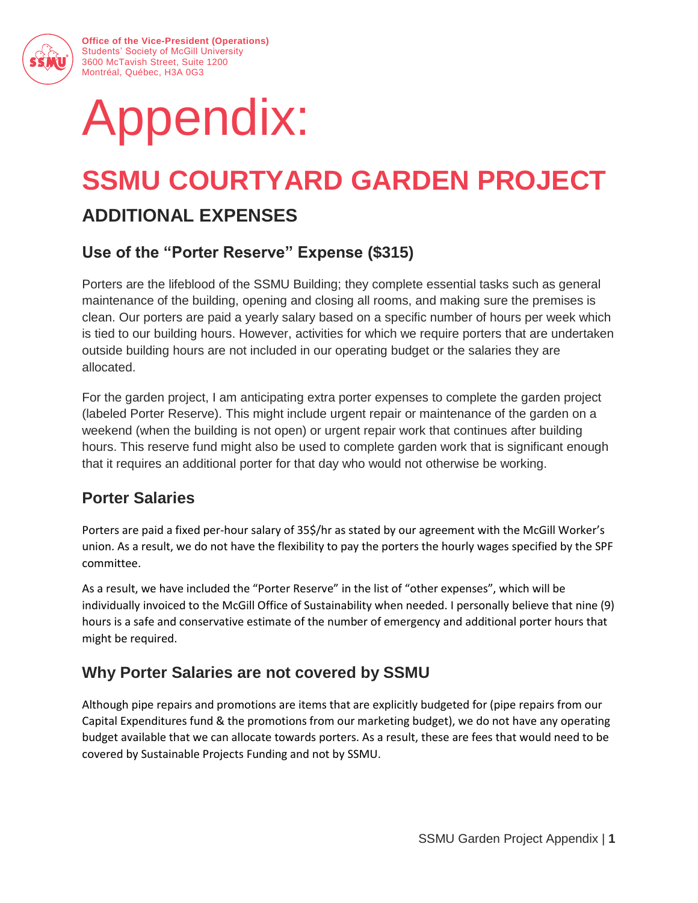

**Office of the Vice-President (Operations)** Students' Society of McGill University 3600 McTavish Street, Suite 1200 Montréal, Québec, H3A 0G3

# Appendix:

## **SSMU COURTYARD GARDEN PROJECT**

## **ADDITIONAL EXPENSES**

## **Use of the "Porter Reserve" Expense (\$315)**

Porters are the lifeblood of the SSMU Building; they complete essential tasks such as general maintenance of the building, opening and closing all rooms, and making sure the premises is clean. Our porters are paid a yearly salary based on a specific number of hours per week which is tied to our building hours. However, activities for which we require porters that are undertaken outside building hours are not included in our operating budget or the salaries they are allocated.

For the garden project, I am anticipating extra porter expenses to complete the garden project (labeled Porter Reserve). This might include urgent repair or maintenance of the garden on a weekend (when the building is not open) or urgent repair work that continues after building hours. This reserve fund might also be used to complete garden work that is significant enough that it requires an additional porter for that day who would not otherwise be working.

## **Porter Salaries**

Porters are paid a fixed per-hour salary of 35\$/hr as stated by our agreement with the McGill Worker's union. As a result, we do not have the flexibility to pay the porters the hourly wages specified by the SPF committee.

As a result, we have included the "Porter Reserve" in the list of "other expenses", which will be individually invoiced to the McGill Office of Sustainability when needed. I personally believe that nine (9) hours is a safe and conservative estimate of the number of emergency and additional porter hours that might be required.

## **Why Porter Salaries are not covered by SSMU**

Although pipe repairs and promotions are items that are explicitly budgeted for (pipe repairs from our Capital Expenditures fund & the promotions from our marketing budget), we do not have any operating budget available that we can allocate towards porters. As a result, these are fees that would need to be covered by Sustainable Projects Funding and not by SSMU.